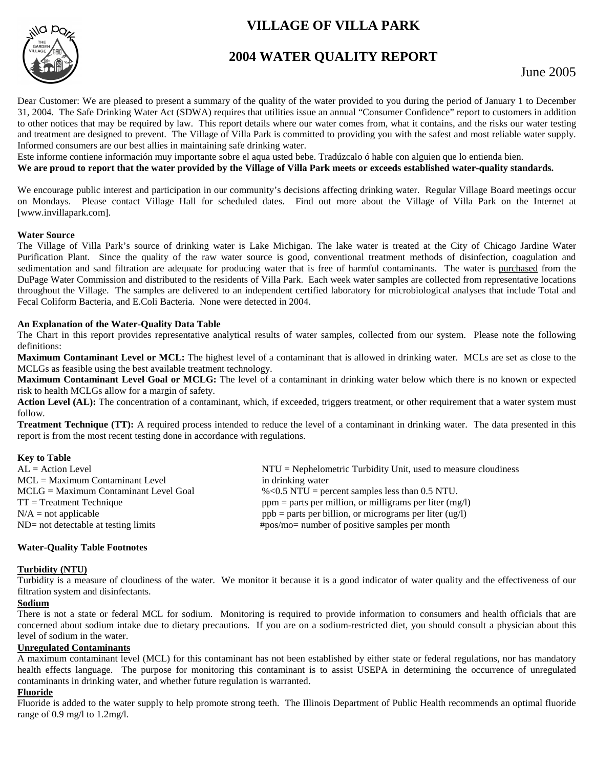# **VILLAGE OF VILLA PARK**



## **2004 WATER QUALITY REPORT**

Dear Customer: We are pleased to present a summary of the quality of the water provided to you during the period of January 1 to December 31, 2004. The Safe Drinking Water Act (SDWA) requires that utilities issue an annual "Consumer Confidence" report to customers in addition to other notices that may be required by law. This report details where our water comes from, what it contains, and the risks our water testing and treatment are designed to prevent. The Village of Villa Park is committed to providing you with the safest and most reliable water supply. Informed consumers are our best allies in maintaining safe drinking water.

Este informe contiene información muy importante sobre el aqua usted bebe. Tradúzcalo ó hable con alguien que lo entienda bien.

#### **We are proud to report that the water provided by the Village of Villa Park meets or exceeds established water-quality standards.**

We encourage public interest and participation in our community's decisions affecting drinking water. Regular Village Board meetings occur on Mondays. Please contact Village Hall for scheduled dates. Find out more about the Village of Villa Park on the Internet at [www.invillapark.com].

#### **Water Source**

The Village of Villa Park's source of drinking water is Lake Michigan. The lake water is treated at the City of Chicago Jardine Water Purification Plant. Since the quality of the raw water source is good, conventional treatment methods of disinfection, coagulation and sedimentation and sand filtration are adequate for producing water that is free of harmful contaminants. The water is purchased from the DuPage Water Commission and distributed to the residents of Villa Park. Each week water samples are collected from representative locations throughout the Village. The samples are delivered to an independent certified laboratory for microbiological analyses that include Total and Fecal Coliform Bacteria, and E.Coli Bacteria. None were detected in 2004.

#### **An Explanation of the Water-Quality Data Table**

The Chart in this report provides representative analytical results of water samples, collected from our system. Please note the following definitions:

**Maximum Contaminant Level or MCL:** The highest level of a contaminant that is allowed in drinking water. MCLs are set as close to the MCLGs as feasible using the best available treatment technology.

**Maximum Contaminant Level Goal or MCLG:** The level of a contaminant in drinking water below which there is no known or expected risk to health MCLGs allow for a margin of safety.

Action Level (AL): The concentration of a contaminant, which, if exceeded, triggers treatment, or other requirement that a water system must follow.

**Treatment Technique (TT):** A required process intended to reduce the level of a contaminant in drinking water. The data presented in this report is from the most recent testing done in accordance with regulations.

## **Key to Table**

| $AL = Action Level$                     | $NTU = Nephelometric Turbidity Unit$ , used to measure cloudiness |
|-----------------------------------------|-------------------------------------------------------------------|
| $MCL = Maximum$ Contaminant Level       | in drinking water                                                 |
| $MCLG = Maximum$ Contaminant Level Goal | $\%$ < 0.5 NTU = percent samples less than 0.5 NTU.               |
| $TT = Treatment Technique$              | $ppm =$ parts per million, or milligrams per liter (mg/l)         |
| $N/A$ = not applicable                  | $ppb =$ parts per billion, or micrograms per liter (ug/l)         |
| $ND = not detectable at testing limits$ | $\#pos/mo=$ number of positive samples per month                  |
|                                         |                                                                   |

## **Water-Quality Table Footnotes**

## **Turbidity (NTU)**

Turbidity is a measure of cloudiness of the water. We monitor it because it is a good indicator of water quality and the effectiveness of our filtration system and disinfectants.

## **Sodium**

There is not a state or federal MCL for sodium. Monitoring is required to provide information to consumers and health officials that are concerned about sodium intake due to dietary precautions. If you are on a sodium-restricted diet, you should consult a physician about this level of sodium in the water.

#### **Unregulated Contaminants**

A maximum contaminant level (MCL) for this contaminant has not been established by either state or federal regulations, nor has mandatory health effects language. The purpose for monitoring this contaminant is to assist USEPA in determining the occurrence of unregulated contaminants in drinking water, and whether future regulation is warranted.

## **Fluoride**

Fluoride is added to the water supply to help promote strong teeth. The Illinois Department of Public Health recommends an optimal fluoride range of 0.9 mg/l to 1.2mg/l.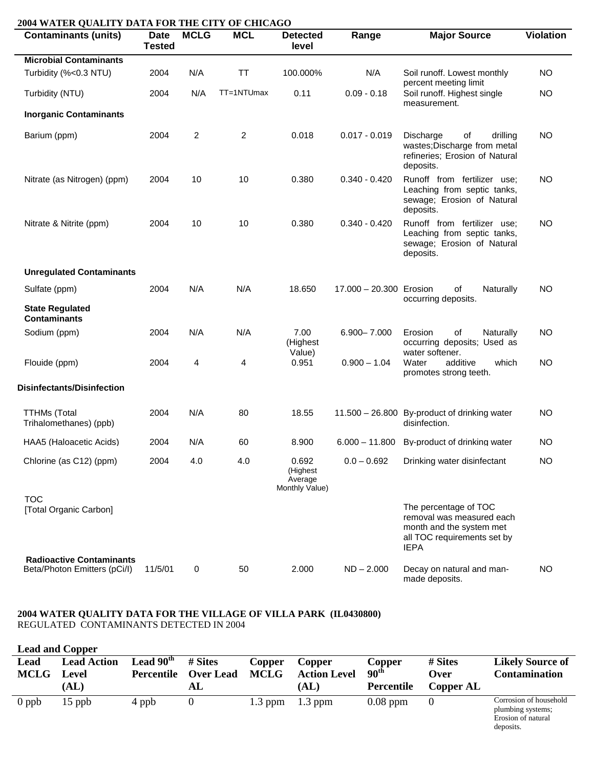| <b>Contaminants (units)</b>                                     | Date<br><b>Tested</b> | <b>MCLG</b> | <b>MCL</b> | <b>Detected</b><br>level                       | Range                   | <b>Major Source</b>                                                                                                          | <b>Violation</b> |
|-----------------------------------------------------------------|-----------------------|-------------|------------|------------------------------------------------|-------------------------|------------------------------------------------------------------------------------------------------------------------------|------------------|
| <b>Microbial Contaminants</b>                                   |                       |             |            |                                                |                         |                                                                                                                              |                  |
| Turbidity (%<0.3 NTU)                                           | 2004                  | N/A         | <b>TT</b>  | 100.000%                                       | N/A                     | Soil runoff. Lowest monthly<br>percent meeting limit                                                                         | <b>NO</b>        |
| Turbidity (NTU)                                                 | 2004                  | N/A         | TT=1NTUmax | 0.11                                           | $0.09 - 0.18$           | Soil runoff. Highest single<br>measurement.                                                                                  | <b>NO</b>        |
| <b>Inorganic Contaminants</b>                                   |                       |             |            |                                                |                         |                                                                                                                              |                  |
| Barium (ppm)                                                    | 2004                  | 2           | 2          | 0.018                                          | $0.017 - 0.019$         | of<br>drilling<br>Discharge<br>wastes; Discharge from metal<br>refineries; Erosion of Natural<br>deposits.                   | <b>NO</b>        |
| Nitrate (as Nitrogen) (ppm)                                     | 2004                  | 10          | 10         | 0.380                                          | $0.340 - 0.420$         | Runoff from fertilizer use;<br>Leaching from septic tanks,<br>sewage; Erosion of Natural<br>deposits.                        | <b>NO</b>        |
| Nitrate & Nitrite (ppm)                                         | 2004                  | 10          | 10         | 0.380                                          | $0.340 - 0.420$         | Runoff from fertilizer use;<br>Leaching from septic tanks,<br>sewage; Erosion of Natural<br>deposits.                        | <b>NO</b>        |
| <b>Unregulated Contaminants</b>                                 |                       |             |            |                                                |                         |                                                                                                                              |                  |
| Sulfate (ppm)                                                   | 2004                  | N/A         | N/A        | 18.650                                         | 17.000 - 20.300 Erosion | of<br>Naturally<br>occurring deposits.                                                                                       | <b>NO</b>        |
| <b>State Regulated</b><br><b>Contaminants</b>                   |                       |             |            |                                                |                         |                                                                                                                              |                  |
| Sodium (ppm)                                                    | 2004                  | N/A         | N/A        | 7.00<br>(Highest                               | $6.900 - 7.000$         | of<br>Erosion<br>Naturally<br>occurring deposits; Used as                                                                    | <b>NO</b>        |
| Flouide (ppm)                                                   | 2004                  | 4           | 4          | Value)<br>0.951                                | $0.900 - 1.04$          | water softener.<br>Water<br>additive<br>which<br>promotes strong teeth.                                                      | <b>NO</b>        |
| <b>Disinfectants/Disinfection</b>                               |                       |             |            |                                                |                         |                                                                                                                              |                  |
| <b>TTHMs (Total</b><br>Trihalomethanes) (ppb)                   | 2004                  | N/A         | 80         | 18.55                                          |                         | 11.500 - 26.800 By-product of drinking water<br>disinfection.                                                                | <b>NO</b>        |
| HAA5 (Haloacetic Acids)                                         | 2004                  | N/A         | 60         | 8.900                                          | $6.000 - 11.800$        | By-product of drinking water                                                                                                 | NO.              |
| Chlorine (as C12) (ppm)                                         | 2004                  | 4.0         | 4.0        | 0.692<br>(Highest<br>Average<br>Monthly Value) | $0.0 - 0.692$           | Drinking water disinfectant                                                                                                  | <b>NO</b>        |
| <b>TOC</b><br>[Total Organic Carbon]                            |                       |             |            |                                                |                         | The percentage of TOC<br>removal was measured each<br>month and the system met<br>all TOC requirements set by<br><b>IEPA</b> |                  |
| <b>Radioactive Contaminants</b><br>Beta/Photon Emitters (pCi/l) | 11/5/01               | 0           | 50         | 2.000                                          | $ND - 2.000$            | Decay on natural and man-<br>made deposits.                                                                                  | NO               |

#### **2004 WATER QUALITY DATA FOR THE VILLAGE OF VILLA PARK (IL0430800)**  REGULATED CONTAMINANTS DETECTED IN 2004

| <b>Lead and Copper</b> |                                     |                           |                                   |                       |                                       |                                          |                              |                                                                                |
|------------------------|-------------------------------------|---------------------------|-----------------------------------|-----------------------|---------------------------------------|------------------------------------------|------------------------------|--------------------------------------------------------------------------------|
| Lead<br><b>MCLG</b>    | <b>Lead Action</b><br>Level<br>(AL) | Lead $90th$<br>Percentile | # Sites<br><b>Over Lead</b><br>AL | Copper<br><b>MCLG</b> | Copper<br><b>Action Level</b><br>(AL) | Copper<br>90 <sup>th</sup><br>Percentile | # Sites<br>Over<br>Copper AL | <b>Likely Source of</b><br><b>Contamination</b>                                |
| $0$ ppb                | $15$ ppb                            | 4 ppb                     |                                   | $1.3$ ppm             | $1.3$ ppm                             | $0.08$ ppm                               | $\theta$                     | Corrosion of household<br>plumbing systems;<br>Erosion of natural<br>deposits. |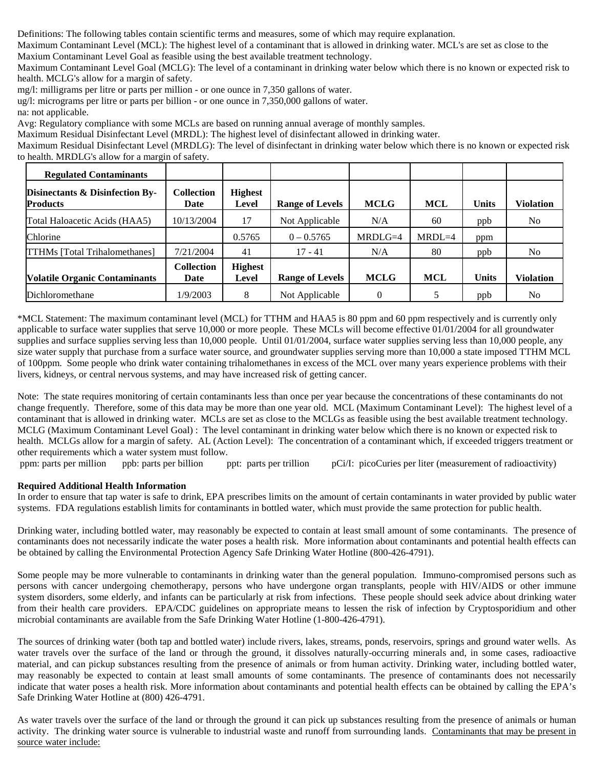Definitions: The following tables contain scientific terms and measures, some of which may require explanation.

Maximum Contaminant Level (MCL): The highest level of a contaminant that is allowed in drinking water. MCL's are set as close to the Maxium Contaminant Level Goal as feasible using the best available treatment technology.

Maximum Contaminant Level Goal (MCLG): The level of a contaminant in drinking water below which there is no known or expected risk to health. MCLG's allow for a margin of safety.

mg/l: milligrams per litre or parts per million - or one ounce in 7,350 gallons of water.

ug/l: micrograms per litre or parts per billion - or one ounce in 7,350,000 gallons of water.

na: not applicable.

Avg: Regulatory compliance with some MCLs are based on running annual average of monthly samples.

Maximum Residual Disinfectant Level (MRDL): The highest level of disinfectant allowed in drinking water.

Maximum Residual Disinfectant Level (MRDLG): The level of disinfectant in drinking water below which there is no known or expected risk to health. MRDLG's allow for a margin of safety.

| <b>Regulated Contaminants</b>                      |                           |                                |                        |             |            |       |                  |
|----------------------------------------------------|---------------------------|--------------------------------|------------------------|-------------|------------|-------|------------------|
| Disinectants & Disinfection By-<br><b>Products</b> | <b>Collection</b><br>Date | <b>Highest</b><br>Level        | <b>Range of Levels</b> | <b>MCLG</b> | <b>MCL</b> | Units | Violation        |
| Total Haloacetic Acids (HAA5)                      | 10/13/2004                |                                | Not Applicable         | N/A         | 60         | ppb   | N <sub>0</sub>   |
| Chlorine                                           |                           | 0.5765                         | $0 - 0.5765$           | MRDLG=4     | $MRDL=4$   | ppm   |                  |
| <b>TTHMs</b> [Total Trihalomethanes]               | 7/21/2004                 | 41                             | $17 - 41$              | N/A         | 80         | ppb   | N <sub>0</sub>   |
| <b>Volatile Organic Contaminants</b>               | <b>Collection</b><br>Date | <b>Highest</b><br><b>Level</b> | <b>Range of Levels</b> | <b>MCLG</b> | MCL        | Units | <b>Violation</b> |
| Dichloromethane                                    | 1/9/2003                  | 8                              | Not Applicable         |             |            | ppb   | N <sub>0</sub>   |

\*MCL Statement: The maximum contaminant level (MCL) for TTHM and HAA5 is 80 ppm and 60 ppm respectively and is currently only applicable to surface water supplies that serve 10,000 or more people. These MCLs will become effective 01/01/2004 for all groundwater supplies and surface supplies serving less than 10,000 people. Until 01/01/2004, surface water supplies serving less than 10,000 people, any size water supply that purchase from a surface water source, and groundwater supplies serving more than 10,000 a state imposed TTHM MCL of 100ppm. Some people who drink water containing trihalomethanes in excess of the MCL over many years experience problems with their livers, kidneys, or central nervous systems, and may have increased risk of getting cancer.

Note: The state requires monitoring of certain contaminants less than once per year because the concentrations of these contaminants do not change frequently. Therefore, some of this data may be more than one year old. MCL (Maximum Contaminant Level): The highest level of a contaminant that is allowed in drinking water. MCLs are set as close to the MCLGs as feasible using the best available treatment technology. MCLG (Maximum Contaminant Level Goal) : The level contaminant in drinking water below which there is no known or expected risk to health. MCLGs allow for a margin of safety. AL (Action Level): The concentration of a contaminant which, if exceeded triggers treatment or other requirements which a water system must follow.

ppm: parts per million ppb: parts per billion ppt: parts per trillion pCi/I: picoCuries per liter (measurement of radioactivity)

## **Required Additional Health Information**

In order to ensure that tap water is safe to drink, EPA prescribes limits on the amount of certain contaminants in water provided by public water systems. FDA regulations establish limits for contaminants in bottled water, which must provide the same protection for public health.

Drinking water, including bottled water, may reasonably be expected to contain at least small amount of some contaminants. The presence of contaminants does not necessarily indicate the water poses a health risk. More information about contaminants and potential health effects can be obtained by calling the Environmental Protection Agency Safe Drinking Water Hotline (800-426-4791).

Some people may be more vulnerable to contaminants in drinking water than the general population. Immuno-compromised persons such as persons with cancer undergoing chemotherapy, persons who have undergone organ transplants, people with HIV/AIDS or other immune system disorders, some elderly, and infants can be particularly at risk from infections. These people should seek advice about drinking water from their health care providers. EPA/CDC guidelines on appropriate means to lessen the risk of infection by Cryptosporidium and other microbial contaminants are available from the Safe Drinking Water Hotline (1-800-426-4791).

The sources of drinking water (both tap and bottled water) include rivers, lakes, streams, ponds, reservoirs, springs and ground water wells. As water travels over the surface of the land or through the ground, it dissolves naturally-occurring minerals and, in some cases, radioactive material, and can pickup substances resulting from the presence of animals or from human activity. Drinking water, including bottled water, may reasonably be expected to contain at least small amounts of some contaminants. The presence of contaminants does not necessarily indicate that water poses a health risk. More information about contaminants and potential health effects can be obtained by calling the EPA's Safe Drinking Water Hotline at (800) 426-4791.

As water travels over the surface of the land or through the ground it can pick up substances resulting from the presence of animals or human activity. The drinking water source is vulnerable to industrial waste and runoff from surrounding lands. Contaminants that may be present in source water include: